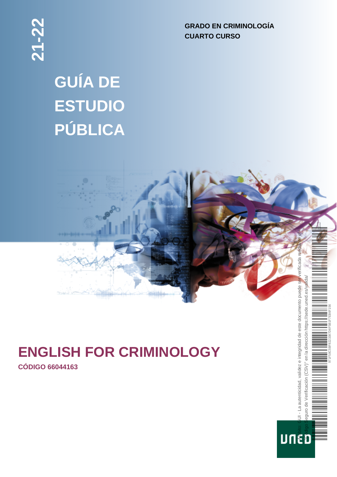**GRADO EN CRIMINOLOGÍA CUARTO CURSO**

# **GUÍA DE ESTUDIO PÚBLICA**



eguro de Verificación

**UNED** 

# **ENGLISH FOR CRIMINOLOGY**

**CÓDIGO 66044163**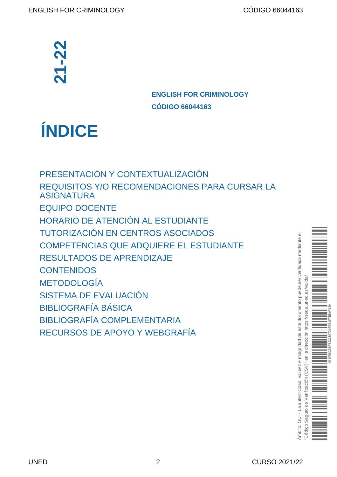# **ENGLISH FOR CRIMINOLOGY CÓDIGO 66044163**

# **ÍNDICE**

[PRESENTACIÓN Y CONTEXTUALIZACIÓN](#page-2-0) [REQUISITOS Y/O RECOMENDACIONES PARA CURSAR LA](#page-2-1) [ASIGNATURA](#page-2-1) [EQUIPO DOCENTE](#page-2-2) [HORARIO DE ATENCIÓN AL ESTUDIANTE](#page-3-0) [TUTORIZACIÓN EN CENTROS ASOCIADOS](#page-4-0) [COMPETENCIAS QUE ADQUIERE EL ESTUDIANTE](#page-4-0) [RESULTADOS DE APRENDIZAJE](#page-4-1) **[CONTENIDOS](#page-5-0)** [METODOLOGÍA](#page-5-1) [SISTEMA DE EVALUACIÓN](#page-6-0) [BIBLIOGRAFÍA BÁSICA](#page-8-0) [BIBLIOGRAFÍA COMPLEMENTARIA](#page-8-1) **ENGLISH FOR EXECURSOR DE APOYOT CONFERENCIÓN ENGLISH FOR ECONOMIC REQUISITOS Y/O RECOMENDACIONES<br>
REQUISITOS Y/O RECOMENDACIONES<br>
ASIGNATURA<br>
EQUIPO DOCENTE<br>
HORARIO DE ATENCIÓN AL ESTUDIAN<br>
TUTORIZACIÓN EN CENTROS ASOCIA** 

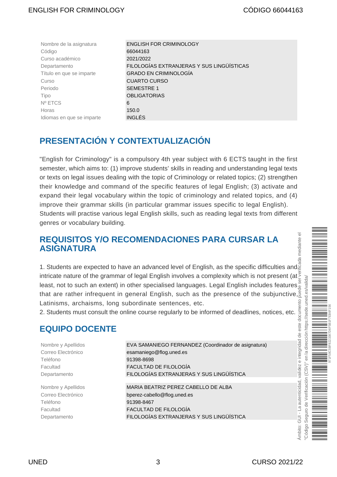| Nombre de la asignatura   | <b>ENGLISH FOR CRIMINOLOGY</b>            |
|---------------------------|-------------------------------------------|
| Código                    | 66044163                                  |
| Curso académico           | 2021/2022                                 |
| Departamento              | FILOLOGÍAS EXTRANJERAS Y SUS LINGÜÍSTICAS |
| Título en que se imparte  | <b>GRADO EN CRIMINOLOGÍA</b>              |
| Curso                     | <b>CUARTO CURSO</b>                       |
| Periodo                   | <b>SEMESTRE 1</b>                         |
| Tipo                      | <b>OBLIGATORIAS</b>                       |
| Nº ETCS                   | 6                                         |
| Horas                     | 150.0                                     |
| Idiomas en que se imparte | <b>INGLÉS</b>                             |

# <span id="page-2-0"></span>**PRESENTACIÓN Y CONTEXTUALIZACIÓN**

"English for Criminology" is a compulsory 4th year subject with 6 ECTS taught in the first semester, which aims to: (1) improve students' skills in reading and understanding legal texts or texts on legal issues dealing with the topic of Criminology or related topics; (2) strengthen their knowledge and command of the specific features of legal English; (3) activate and expand their legal vocabulary within the topic of criminology and related topics, and (4) improve their grammar skills (in particular grammar issues specific to legal English). Students will practise various legal English skills, such as reading legal texts from different genres or vocabulary building.

### <span id="page-2-1"></span>**REQUISITOS Y/O RECOMENDACIONES PARA CURSAR LA ASIGNATURA**

1. Students are expected to have an advanced level of English, as the specific difficulties and intricate nature of the grammar of legal English involves a complexity which is not present (at.<sup>9</sup>) least, not to such an extent) in other specialised languages. Legal English includes features that are rather infrequent in general English, such as the presence of the subjunctive, Latinisms, archaisms, long subordinate sentences, etc.

2. Students must consult the online course regularly to be informed of deadlines, notices, etc.

## <span id="page-2-2"></span>**EQUIPO DOCENTE**

Teléfono 91398-8698

Teléfono 91398-8467

Nombre y Apellidos EVA SAMANIEGO FERNANDEZ (Coordinador de asignatura) Correo Electrónico esamaniego@flog.uned.es Facultad FACULTAD DE FILOLOGÍA Departamento FILOLOGÍAS EXTRANJERAS Y SUS LINGÜÍSTICA

Nombre y Apellidos MARIA BEATRIZ PEREZ CABELLO DE ALBA Correo Electrónico bperez-cabello@flog.uned.es Facultad FACULTAD DE FILOLOGÍA Departamento FILOLOGÍAS EXTRANJERAS Y SUS LINGÜÍSTICA

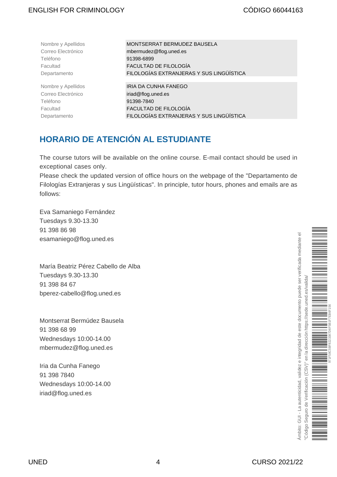Teléfono 91398-6899

Correo Electrónico **iriad@flog.uned.es** Teléfono 91398-7840

Nombre y Apellidos MONTSERRAT BERMUDEZ BAUSELA Correo Electrónico mbermudez@flog.uned.es Facultad FACULTAD DE FILOLOGÍA Departamento FILOLOGÍAS EXTRANJERAS Y SUS LINGÜÍSTICA

Nombre y Apellidos **IRIA DA CUNHA FANEGO** Facultad FACULTAD DE FILOLOGÍA Departamento FILOLOGÍAS EXTRANJERAS Y SUS LINGÜÍSTICA

# <span id="page-3-0"></span>**HORARIO DE ATENCIÓN AL ESTUDIANTE**

The course tutors will be available on the online course. E-mail contact should be used in exceptional cases only.

Please check the updated version of office hours on the webpage of the "Departamento de Filologías Extranjeras y sus Lingüísticas". In principle, tutor hours, phones and emails are as follows:

Eva Samaniego Fernández Tuesdays 9.30-13.30 91 398 86 98 esamaniego@flog.uned.es

María Beatriz Pérez Cabello de Alba Tuesdays 9.30-13.30 91 398 84 67 bperez-cabello@flog.uned.es

Montserrat Bermúdez Bausela 91 398 68 99 Wednesdays 10:00-14.00 mbermudez@flog.uned.es

Iria da Cunha Fanego 91 398 7840 Wednesdays 10:00-14.00 iriad@flog.uned.es

kmbito: GUI - La autenticidad, validez e integridad de este documento puede ser verificada mediante el Ámbito: GUI - La autenticidad, validez e integridad de este documento puede ser verificada mediante el "Código Seguro de Verificación (CSV)" en la dirección https://sede.uned.es/valida/ es/valida https://sede.uned. la dirección  $\overline{5}$  $(CSW)^n$ Seguro de Verificación "Código S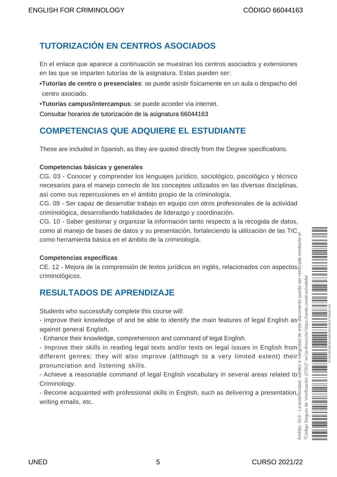# <span id="page-4-0"></span>**TUTORIZACIÓN EN CENTROS ASOCIADOS**

En el enlace que aparece a continuación se muestran los centros asociados y extensiones en las que se imparten tutorías de la asignatura. Estas pueden ser:

- **• Tutorías de centro o presenciales**: se puede asistir físicamente en un aula o despacho del centro asociado.
- **• Tutorías campus/intercampus**: se puede acceder vía internet.

[Consultar horarios de tutorización de la asignatura 66044163](https://akademosweb.uned.es/Default.aspx?id_servicio=19&modo_23=1&asigna=66044163)

# **COMPETENCIAS QUE ADQUIERE EL ESTUDIANTE**

These are included in Spanish, as they are quoted directly from the Degree specifications.

#### **Competencias básicas y generales**

CG. 03 - Conocer y comprender los lenguajes jurídico, sociológico, psicológico y técnico necesarios para el manejo correcto de los conceptos utilizados en las diversas disciplinas, así como sus repercusiones en el ámbito propio de la criminología.

CG. 09 - Ser capaz de desarrollar trabajo en equipo con otros profesionales de la actividad criminológica, desarrollando habilidades de liderazgo y coordinación.

CG. 10 - Saber gestionar y organizar la información tanto respecto a la recogida de datos, como al manejo de bases de datos y su presentación, fortaleciendo la utilización de las TIC $_{\overline{\circ}}$ como herramienta básica en el ámbito de la criminología.

#### **Competencias específicas**

CE. 12 - Mejora de la comprensión de textos jurídicos en inglés, relacionados con aspectos criminológicos.

## <span id="page-4-1"></span>**RESULTADOS DE APRENDIZAJE**

Students who successfully complete this course will:

- Improve their knowledge of and be able to identify the main features of legal English as against general English.

- Enhance their knowledge, comprehension and command of legal English.

- Improve their skills in reading legal texts and/or texts on legal issues in English from different genres; they will also improve (although to a very limited extent) their pronunciation and listening skills.

pronunciation and listening skills.<br>- Achieve a reasonable command of legal English vocabulary in several areas related to  $\frac{18}{9}$ Criminology.

- Become acquainted with professional skills in English, such as delivering a presentation, writing emails, etc.

Ámbito: GUI - La autenticidad, validez e integridad de este documento puede ser verificada mediante el "Código Seguro de Verificación (CSV)" en la dirección https://sede.uned.es/valida/ es/valida uned. 971F58C5BF8223387D6F5B1F7EB6F156en la dirección https://sede.  $(CSV)^n$ Seguro de Verificación Código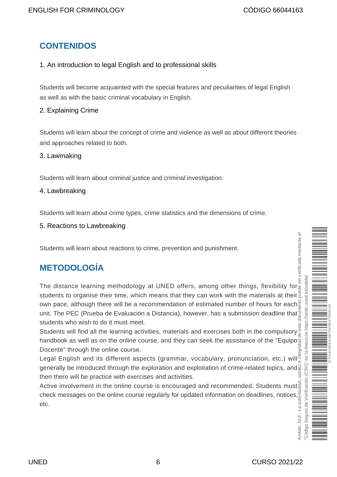# <span id="page-5-0"></span>**CONTENIDOS**

#### 1. An introduction to legal English and to professional skills

Students will become acquainted with the special features and peculiarities of legal English as well as with the basic criminal vocabulary in English.

#### 2. Explaining Crime

Students will learn about the concept of crime and violence as well as about different theories and approaches related to both.

#### 3. Lawmaking

Students will learn about criminal justice and criminal investigation.

#### 4. Lawbreaking

Students will learn about crime types, crime statistics and the dimensions of crime.

5. Reactions to Lawbreaking

Students will learn about reactions to crime, prevention and punishment.

# <span id="page-5-1"></span>**METODOLOGÍA**

The distance learning methodology at UNED offers, among other things, flexibility for students to organise their time, which means that they can work with the materials at theirs own pace, although there will be a recommendation of estimated number of hours for each unit. The PEC (Prueba de Evaluación a Distancia), however, has a submission deadline that students who wish to do it must meet.

Students will find all the learning activities, materials and exercises both in the compulsory handbook as well as on the online course, and they can seek the assistance of the "Equipo Docente" through the online course.

Legal English and its different aspects (grammar, vocabulary, pronunciation, etc.) will generally be introduced through the exploration and exploitation of crime-related topics, and then there will be practice with exercises and activities.

Active involvement in the online course is encouraged and recommended. Students must check messages on the online course regularly for updated information on deadlines, notices, etc.

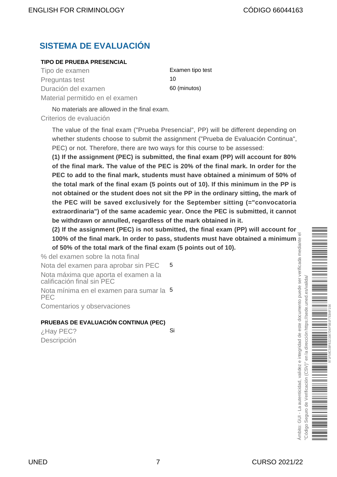# <span id="page-6-0"></span>**SISTEMA DE EVALUACIÓN**

#### **TIPO DE PRUEBA PRESENCIAL**

Tipo de examen este examentipo test Preguntas test 10 Duración del examen 60 (minutos) Material permitido en el examen

No materials are allowed in the final exam.

Criterios de evaluación

The value of the final exam ("Prueba Presencial", PP) will be different depending on whether students choose to submit the assignment ("Prueba de Evaluación Continua", PEC) or not. Therefore, there are two ways for this course to be assessed:

**(1) If the assignment (PEC) is submitted, the final exam (PP) will account for 80% of the final mark. The value of the PEC is 20% of the final mark. In order for the PEC to add to the final mark, students must have obtained a minimum of 50% of the total mark of the final exam (5 points out of 10). If this minimum in the PP is not obtained or the student does not sit the PP in the ordinary sitting, the mark of the PEC will be saved exclusively for the September sitting (="convocatoria extraordinaria") of the same academic year. Once the PEC is submitted, it cannot be withdrawn or annulled, regardless of the mark obtained in it.**

**(2) If the assignment (PEC) is not submitted, the final exam (PP) will account for 100% of the final mark. In order to pass, students must have obtained a minimum of 50% of the total mark of the final exam (5 points out of 10).**

% del examen sobre la nota final Nota del examen para aprobar sin PEC 5 Nota máxima que aporta el examen a la<br>calificación final sin PEC calificación final sin PEC Nota mínima en el examen para sumar la 5 PEC Comentarios y observaciones

#### **PRUEBAS DE EVALUACIÓN CONTINUA (PEC)**

¿Hay PEC? Si Descripción

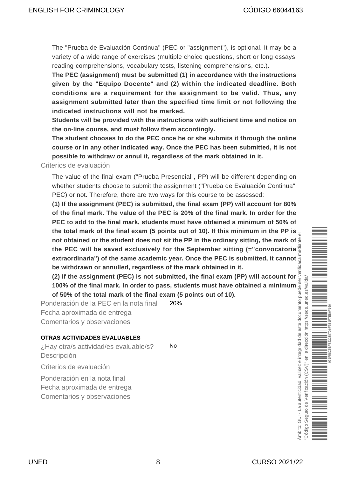The "Prueba de Evaluación Continua" (PEC or "assignment"), is optional. It may be a variety of a wide range of exercises (multiple choice questions, short or long essays, reading comprehensions, vocabulary tests, listening comprehensions, etc.).

**The PEC (assignment) must be submitted (1) in accordance with the instructions given by the "Equipo Docente" and (2) within the indicated deadline. Both conditions are a requirement for the assignment to be valid. Thus, any assignment submitted later than the specified time limit or not following the indicated instructions will not be marked.**

**Students will be provided with the instructions with sufficient time and notice on the on-line course, and must follow them accordingly.**

**The student chooses to do the PEC once he or she submits it through the online course or in any other indicated way. Once the PEC has been submitted, it is not possible to withdraw or annul it, regardless of the mark obtained in it.**

Criterios de evaluación

The value of the final exam ("Prueba Presencial", PP) will be different depending on whether students choose to submit the assignment ("Prueba de Evaluación Continua", PEC) or not. Therefore, there are two ways for this course to be assessed:

**(1) If the assignment (PEC) is submitted, the final exam (PP) will account for 80% of the final mark. The value of the PEC is 20% of the final mark. In order for the PEC to add to the final mark, students must have obtained a minimum of 50% of the total mark of the final exam (5 points out of 10). If this minimum in the PP is not obtained or the student does not sit the PP in the ordinary sitting, the mark of the PEC will be saved exclusively for the September sitting (="convocatoria extraordinaria") of the same academic year. Once the PEC is submitted, it cannot be withdrawn or annulled, regardless of the mark obtained in it.**

**(2) If the assignment (PEC) is not submitted, the final exam (PP) will account for 100% of the final mark. In order to pass, students must have obtained a minimum of 50% of the total mark of the final exam (5 points out of 10).**

Ponderación de la PEC en la nota final 20% Fecha aproximada de entrega Comentarios y observaciones

#### **OTRAS ACTIVIDADES EVALUABLES**

¿Hay otra/s actividad/es evaluable/s? No Descripción

Criterios de evaluación

Ponderación en la nota final Fecha aproximada de entrega

Comentarios y observaciones

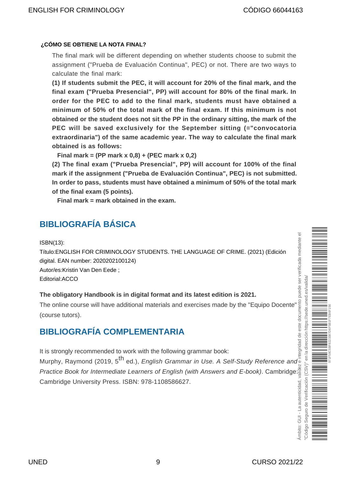#### **¿CÓMO SE OBTIENE LA NOTA FINAL?**

The final mark will be different depending on whether students choose to submit the assignment ("Prueba de Evaluación Continua", PEC) or not. There are two ways to calculate the final mark:

**(1) If students submit the PEC, it will account for 20% of the final mark, and the final exam ("Prueba Presencial", PP) will account for 80% of the final mark. In order for the PEC to add to the final mark, students must have obtained a minimum of 50% of the total mark of the final exam. If this minimum is not obtained or the student does not sit the PP in the ordinary sitting, the mark of the PEC will be saved exclusively for the September sitting (="convocatoria extraordinaria") of the same academic year. The way to calculate the final mark obtained is as follows:**

 **Final mark = (PP mark x 0,8) + (PEC mark x 0,2)** 

**(2) The final exam ("Prueba Presencial", PP) will account for 100% of the final mark if the assignment ("Prueba de Evaluación Continua", PEC) is not submitted. In order to pass, students must have obtained a minimum of 50% of the total mark of the final exam (5 points).**

Final mark = mark obtained in the exam.

# <span id="page-8-0"></span>**BIBLIOGRAFÍA BÁSICA**

ISBN(13):

Título:ENGLISH FOR CRIMINOLOGY STUDENTS. THE LANGUAGE OF CRIME. (2021) (Edición digital. EAN number: 2020202100124) Autor/es:Kristin Van Den Eede ;

Editorial:ACCO

#### **The obligatory Handbook is in digital format and its latest edition is 2021.**

The online course will have additional materials and exercises made by the "Equipo Docente" (course tutors).

## <span id="page-8-1"></span>**BIBLIOGRAFÍA COMPLEMENTARIA**

It is strongly recommended to work with the following grammar book:

Murphy, Raymond (2019, 5<sup>th</sup> ed.), *English Grammar in Use. A Self-Study Reference and* Practice Book for Intermediate Learners of English (with Answers and E-book). Cambridge: Murphy, Raymond (2019, 5<sup>th</sup> ed.), *English Grammar in Use. A Self-Study Reference and*  $\frac{1}{8}$ <br>*Practice Book for Intermediate Learners of English (with Answers and E-book).* Cambridge  $\frac{1}{8}$ <br>Cambridge University Pr